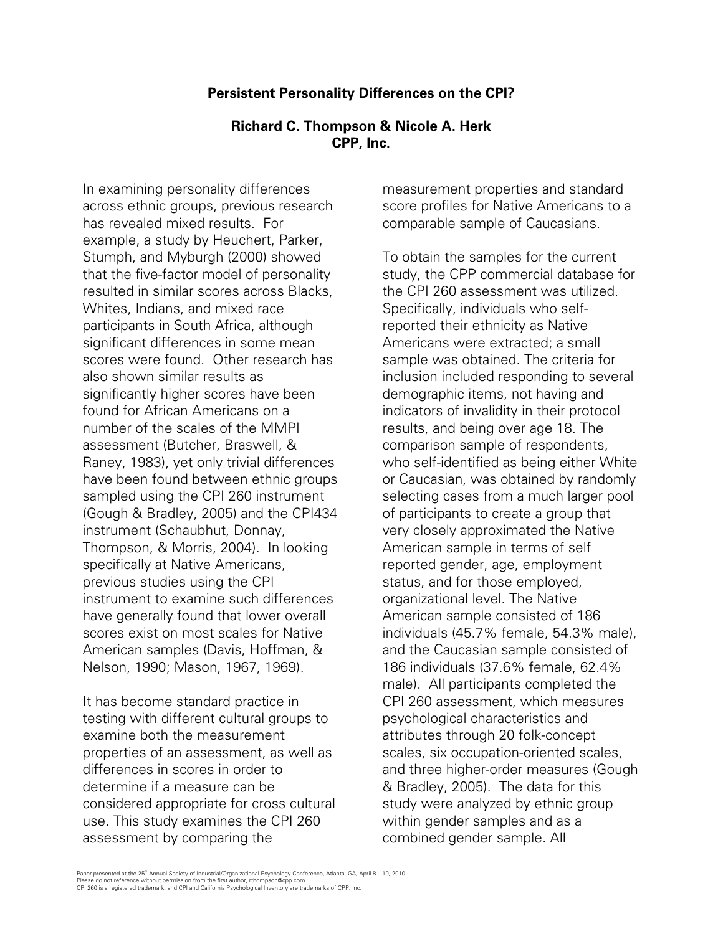## **Persistent Personality Differences on the CPI?**

## **Richard C. Thompson & Nicole A. Herk CPP, Inc.**

In examining personality differences across ethnic groups, previous research has revealed mixed results. For example, a study by Heuchert, Parker, Stumph, and Myburgh (2000) showed that the five-factor model of personality resulted in similar scores across Blacks, Whites, Indians, and mixed race participants in South Africa, although significant differences in some mean scores were found. Other research has also shown similar results as significantly higher scores have been found for African Americans on a number of the scales of the MMPI assessment (Butcher, Braswell, & Raney, 1983), yet only trivial differences have been found between ethnic groups sampled using the CPI 260 instrument (Gough & Bradley, 2005) and the CPI434 instrument (Schaubhut, Donnay, Thompson, & Morris, 2004). In looking specifically at Native Americans, previous studies using the CPI instrument to examine such differences have generally found that lower overall scores exist on most scales for Native American samples (Davis, Hoffman, & Nelson, 1990; Mason, 1967, 1969).

It has become standard practice in testing with different cultural groups to examine both the measurement properties of an assessment, as well as differences in scores in order to determine if a measure can be considered appropriate for cross cultural use. This study examines the CPI 260 assessment by comparing the

measurement properties and standard score profiles for Native Americans to a comparable sample of Caucasians.

To obtain the samples for the current study, the CPP commercial database for the CPI 260 assessment was utilized. Specifically, individuals who selfreported their ethnicity as Native Americans were extracted; a small sample was obtained. The criteria for inclusion included responding to several demographic items, not having and indicators of invalidity in their protocol results, and being over age 18. The comparison sample of respondents, who self-identified as being either White or Caucasian, was obtained by randomly selecting cases from a much larger pool of participants to create a group that very closely approximated the Native American sample in terms of self reported gender, age, employment status, and for those employed, organizational level. The Native American sample consisted of 186 individuals (45.7% female, 54.3% male), and the Caucasian sample consisted of 186 individuals (37.6% female, 62.4% male). All participants completed the CPI 260 assessment, which measures psychological characteristics and attributes through 20 folk-concept scales, six occupation-oriented scales, and three higher-order measures (Gough & Bradley, 2005). The data for this study were analyzed by ethnic group within gender samples and as a combined gender sample. All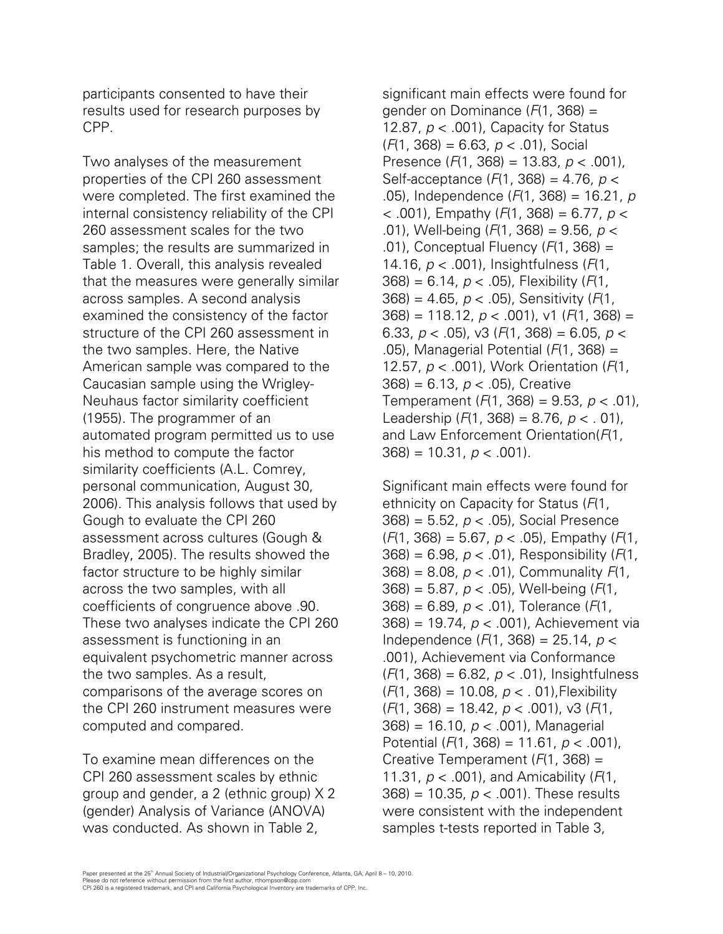participants consented to have their results used for research purposes by CPP.

Two analyses of the measurement properties of the CPI 260 assessment were completed. The first examined the internal consistency reliability of the CPI 260 assessment scales for the two samples; the results are summarized in Table 1. Overall, this analysis revealed that the measures were generally similar across samples. A second analysis examined the consistency of the factor structure of the CPI 260 assessment in the two samples. Here, the Native American sample was compared to the Caucasian sample using the Wrigley-Neuhaus factor similarity coefficient (1955). The programmer of an automated program permitted us to use his method to compute the factor similarity coefficients (A.L. Comrey, personal communication, August 30, 2006). This analysis follows that used by Gough to evaluate the CPI 260 assessment across cultures (Gough & Bradley, 2005). The results showed the factor structure to be highly similar across the two samples, with all coefficients of congruence above .90. These two analyses indicate the CPI 260 assessment is functioning in an equivalent psychometric manner across the two samples. As a result, comparisons of the average scores on the CPI 260 instrument measures were computed and compared.

To examine mean differences on the CPI 260 assessment scales by ethnic group and gender, a 2 (ethnic group) X 2 (gender) Analysis of Variance (ANOVA) was conducted. As shown in Table 2,

significant main effects were found for gender on Dominance (*F*(1, 368) = 12.87, *p* < .001), Capacity for Status (*F*(1, 368) = 6.63, *p* < .01), Social Presence (*F*(1, 368) = 13.83, *p* < .001), Self-acceptance (*F*(1, 368) = 4.76, *p* < .05), Independence (*F*(1, 368) = 16.21, *p* < .001), Empathy (*F*(1, 368) = 6.77, *p* < .01), Well-being (*F*(1, 368) = 9.56, *p* < .01), Conceptual Fluency (*F*(1, 368) = 14.16, *p* < .001), Insightfulness (*F*(1, 368) = 6.14, *p* < .05), Flexibility (*F*(1, 368) = 4.65, *p* < .05), Sensitivity (*F*(1, 368) = 118.12, *p* < .001), v1 (*F*(1, 368) = 6.33, *p* < .05), v3 (*F*(1, 368) = 6.05, *p* < .05), Managerial Potential (*F*(1, 368) = 12.57, *p* < .001), Work Orientation (*F*(1, 368) = 6.13, *p* < .05), Creative Temperament (*F*(1, 368) = 9.53, *p* < .01), Leadership (*F*(1, 368) = 8.76, *p* < . 01), and Law Enforcement Orientation(*F*(1, 368) = 10.31, *p* < .001).

Significant main effects were found for ethnicity on Capacity for Status (*F*(1, 368) = 5.52, *p* < .05), Social Presence (*F*(1, 368) = 5.67, *p* < .05), Empathy (*F*(1, 368) = 6.98, *p* < .01), Responsibility (*F*(1, 368) = 8.08, *p* < .01), Communality *F*(1, 368) = 5.87, *p* < .05), Well-being (*F*(1, 368) = 6.89, *p* < .01), Tolerance (*F*(1, 368) = 19.74, *p* < .001), Achievement via Independence (*F*(1, 368) = 25.14, *p* < .001), Achievement via Conformance (*F*(1, 368) = 6.82, *p* < .01), Insightfulness (*F*(1, 368) = 10.08, *p* < . 01),Flexibility (*F*(1, 368) = 18.42, *p* < .001), v3 (*F*(1, 368) = 16.10, *p* < .001), Managerial Potential (*F*(1, 368) = 11.61, *p* < .001), Creative Temperament (*F*(1, 368) = 11.31, *p* < .001), and Amicability (*F*(1, 368) = 10.35, *p* < .001). These results were consistent with the independent samples t-tests reported in Table 3,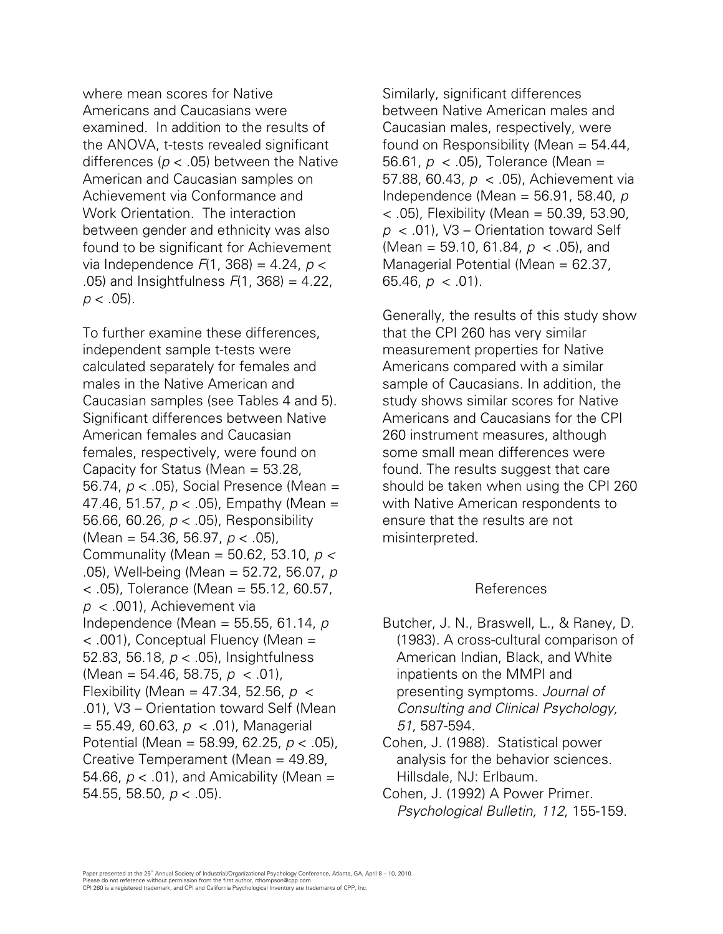where mean scores for Native Americans and Caucasians were examined. In addition to the results of the ANOVA, t-tests revealed significant differences (*p* < .05) between the Native American and Caucasian samples on Achievement via Conformance and Work Orientation. The interaction between gender and ethnicity was also found to be significant for Achievement via Independence *F*(1, 368) = 4.24, *p* < .05) and Insightfulness *F*(1, 368) = 4.22,  $p < .05$ ).

To further examine these differences, independent sample t-tests were calculated separately for females and males in the Native American and Caucasian samples (see Tables 4 and 5). Significant differences between Native American females and Caucasian females, respectively, were found on Capacity for Status (Mean = 53.28, 56.74, *p* < .05), Social Presence (Mean = 47.46, 51.57, *p* < .05), Empathy (Mean = 56.66, 60.26, *p* < .05), Responsibility (Mean = 54.36, 56.97, *p* < .05), Communality (Mean = 50.62, 53.10, *p <*  .05), Well-being (Mean = 52.72, 56.07, *p* < .05), Tolerance (Mean = 55.12, 60.57, *p* < .001), Achievement via Independence (Mean = 55.55, 61.14, *p* < .001), Conceptual Fluency (Mean = 52.83, 56.18, *p* < .05), Insightfulness (Mean = 54.46, 58.75, *p* < .01), Flexibility (Mean = 47.34, 52.56, *p* < .01), V3 – Orientation toward Self (Mean = 55.49, 60.63, *p* < .01), Managerial Potential (Mean = 58.99, 62.25, *p* < .05), Creative Temperament (Mean = 49.89, 54.66, *p* < .01), and Amicability (Mean = 54.55, 58.50, *p* < .05).

Similarly, significant differences between Native American males and Caucasian males, respectively, were found on Responsibility (Mean  $= 54.44$ , 56.61, *p* < .05), Tolerance (Mean = 57.88, 60.43, *p* < .05), Achievement via Independence (Mean = 56.91, 58.40, *p* < .05), Flexibility (Mean = 50.39, 53.90, *p* < .01), V3 – Orientation toward Self (Mean = 59.10, 61.84, *p* < .05), and Managerial Potential (Mean = 62.37, 65.46,  $p < .01$ ).

Generally, the results of this study show that the CPI 260 has very similar measurement properties for Native Americans compared with a similar sample of Caucasians. In addition, the study shows similar scores for Native Americans and Caucasians for the CPI 260 instrument measures, although some small mean differences were found. The results suggest that care should be taken when using the CPI 260 with Native American respondents to ensure that the results are not misinterpreted.

## References

- Butcher, J. N., Braswell, L., & Raney, D. (1983). A cross-cultural comparison of American Indian, Black, and White inpatients on the MMPI and presenting symptoms. *Journal of Consulting and Clinical Psychology, 51*, 587-594.
- Cohen, J. (1988). Statistical power analysis for the behavior sciences. Hillsdale, NJ: Erlbaum.
- Cohen, J. (1992) A Power Primer. *Psychological Bulletin, 112*, 155-159.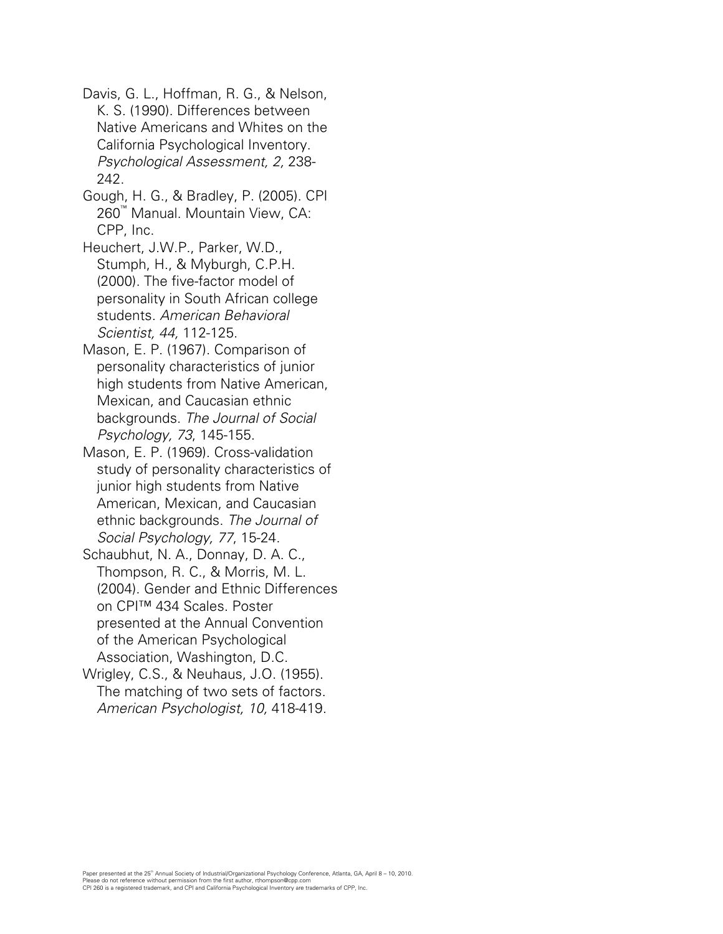Davis, G. L., Hoffman, R. G., & Nelson, K. S. (1990). Differences between Native Americans and Whites on the California Psychological Inventory. *Psychological Assessment, 2,* 238- 242.

Gough, H. G., & Bradley, P. (2005). CPI 260™ Manual. Mountain View, CA: CPP, Inc.

Heuchert, J.W.P., Parker, W.D., Stumph, H., & Myburgh, C.P.H. (2000). The five-factor model of personality in South African college students. *American Behavioral Scientist, 44,* 112-125.

Mason, E. P. (1967). Comparison of personality characteristics of junior high students from Native American, Mexican, and Caucasian ethnic backgrounds. *The Journal of Social Psychology, 73*, 145-155.

Mason, E. P. (1969). Cross-validation study of personality characteristics of junior high students from Native American, Mexican, and Caucasian ethnic backgrounds. *The Journal of Social Psychology, 77*, 15-24.

Schaubhut, N. A., Donnay, D. A. C., Thompson, R. C., & Morris, M. L. (2004). Gender and Ethnic Differences on CPI™ 434 Scales. Poster presented at the Annual Convention of the American Psychological Association, Washington, D.C.

Wrigley, C.S., & Neuhaus, J.O. (1955). The matching of two sets of factors. *American Psychologist, 10,* 418-419.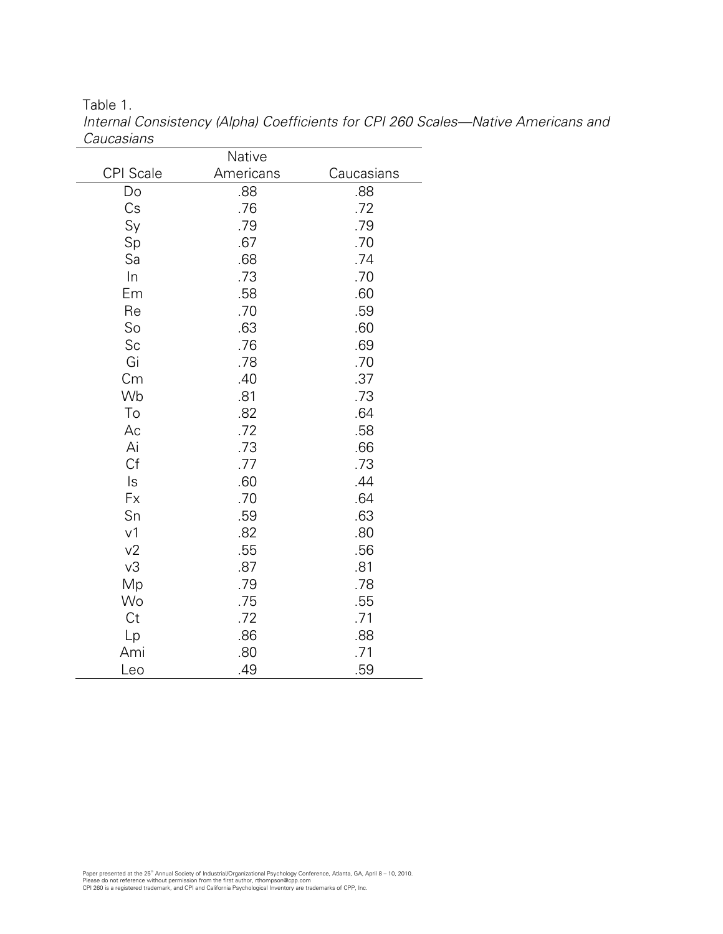Table 1.

|                  | Native    |            |
|------------------|-----------|------------|
| <b>CPI</b> Scale | Americans | Caucasians |
| Do               | .88       | .88        |
| Cs               | .76       | .72        |
| Sy               | .79       | .79        |
| Sp               | .67       | .70        |
| Sa               | .68       | .74        |
| $\ln$            | .73       | .70        |
| Em               | .58       | .60        |
| Re               | .70       | .59        |
| So               | .63       | .60        |
| Sc               | .76       | .69        |
| Gi               | .78       | .70        |
| Cm               | .40       | .37        |
| Wb               | .81       | .73        |
| To               | .82       | .64        |
| Ac               | .72       | .58        |
| Ai               | .73       | .66        |
| Cf               | .77       | .73        |
| ls               | .60       | .44        |
| Fx               | .70       | .64        |
| Sn               | .59       | .63        |
| v <sub>1</sub>   | .82       | .80        |
| v <sub>2</sub>   | .55       | .56        |
| v3               | .87       | .81        |
| Mp               | .79       | .78        |
| Wo               | .75       | .55        |
| Ct               | .72       | .71        |
| Lp               | .86       | .88        |
| Ami              | .80       | .71        |
| Leo              | .49       | .59        |

*Internal Consistency (Alpha) Coefficients for CPI 260 Scales—Native Americans and Caucasians*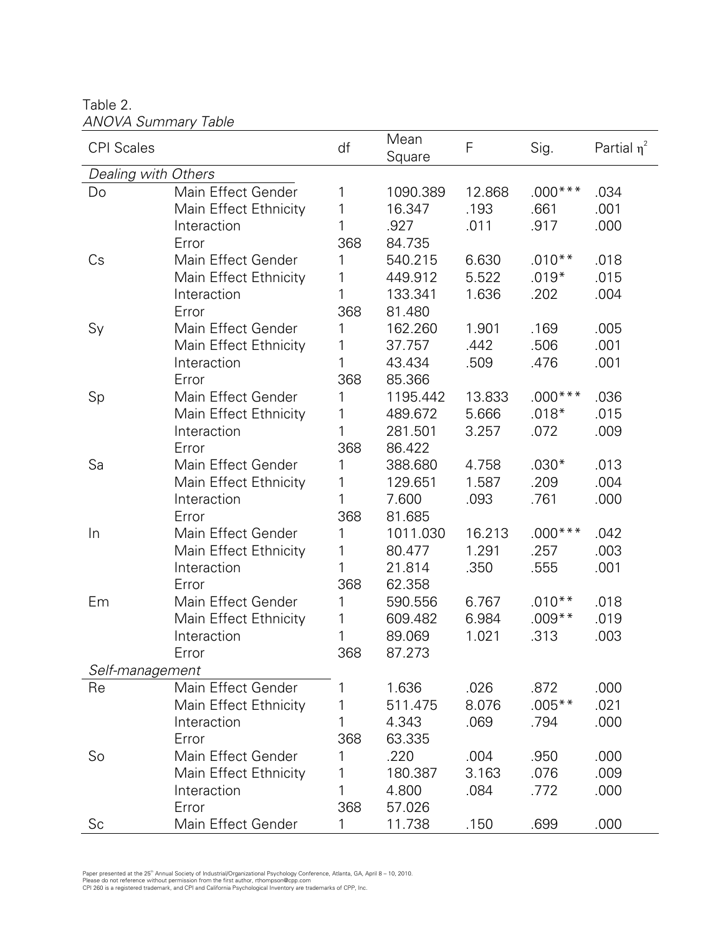Table 2. *ANOVA Summary Table* 

| ANVVA JUHIHU Y TUDIG |                       |     |                |        |           |                  |
|----------------------|-----------------------|-----|----------------|--------|-----------|------------------|
| <b>CPI</b> Scales    |                       | df  | Mean<br>Square | F      | Sig.      | Partial $\eta^2$ |
| Dealing with Others  |                       |     |                |        |           |                  |
| Do                   | Main Effect Gender    | 1   | 1090.389       | 12.868 | $.000***$ | .034             |
|                      | Main Effect Ethnicity | 1   | 16.347         | .193   | .661      | .001             |
|                      | Interaction           | 1   | .927           | .011   | .917      | .000             |
|                      | Error                 | 368 | 84.735         |        |           |                  |
| Cs                   | Main Effect Gender    | 1   | 540.215        | 6.630  | $.010**$  | .018             |
|                      | Main Effect Ethnicity | 1   | 449.912        | 5.522  | $.019*$   | .015             |
|                      | Interaction           | 1   | 133.341        | 1.636  | .202      | .004             |
|                      | Error                 | 368 | 81.480         |        |           |                  |
| Sy                   | Main Effect Gender    | 1   | 162.260        | 1.901  | .169      | .005             |
|                      | Main Effect Ethnicity | 1   | 37.757         | .442   | .506      | .001             |
|                      | Interaction           | 1   | 43.434         | .509   | .476      | .001             |
|                      | Error                 | 368 | 85.366         |        |           |                  |
| Sp                   | Main Effect Gender    | 1   | 1195.442       | 13.833 | $.000***$ | .036             |
|                      | Main Effect Ethnicity | 1   | 489.672        | 5.666  | $.018*$   | .015             |
|                      | Interaction           | 1   | 281.501        | 3.257  | .072      | .009             |
|                      | Error                 | 368 | 86.422         |        |           |                  |
| Sa                   | Main Effect Gender    | 1   | 388.680        | 4.758  | $.030*$   | .013             |
|                      | Main Effect Ethnicity | 1   | 129.651        | 1.587  | .209      | .004             |
|                      | Interaction           | 1   | 7.600          | .093   | .761      | .000             |
|                      | Error                 | 368 | 81.685         |        |           |                  |
| In                   | Main Effect Gender    | 1   | 1011.030       | 16.213 | $.000***$ | .042             |
|                      | Main Effect Ethnicity | 1   | 80.477         | 1.291  | .257      | .003             |
|                      | Interaction           | 1   | 21.814         | .350   | .555      | .001             |
|                      | Error                 | 368 | 62.358         |        |           |                  |
| Em                   | Main Effect Gender    | 1   | 590.556        | 6.767  | $.010**$  | .018             |
|                      | Main Effect Ethnicity | 1   | 609.482        | 6.984  | $.009**$  | .019             |
|                      | Interaction           | 1   | 89.069         | 1.021  | .313      | .003             |
|                      | Error                 | 368 | 87.273         |        |           |                  |
| Self-management      |                       |     |                |        |           |                  |
| Re                   | Main Effect Gender    | 1   | 1.636          | .026   | .872      | .000             |
|                      | Main Effect Ethnicity | 1   | 511.475        | 8.076  | $.005***$ | .021             |
|                      | Interaction           | 1   | 4.343          | .069   | .794      | .000             |
|                      | Error                 | 368 | 63.335         |        |           |                  |
| So                   | Main Effect Gender    | 1   | .220           | .004   | .950      | .000             |
|                      | Main Effect Ethnicity | 1   | 180.387        | 3.163  | .076      | .009             |
|                      | Interaction           | 1   | 4.800          | .084   | .772      | .000             |
|                      | Error                 | 368 | 57.026         |        |           |                  |
| Sc                   | Main Effect Gender    | 1   | 11.738         | .150   | .699      | .000             |

Paper presented at the 25" Annual Society of Industrial/Organizational Psychology Conference, Atlanta, GA, April 8 – 10, 2010.<br>Please do not reference without permission from the first author, rthompson@cpp.com<br>CPI 260 is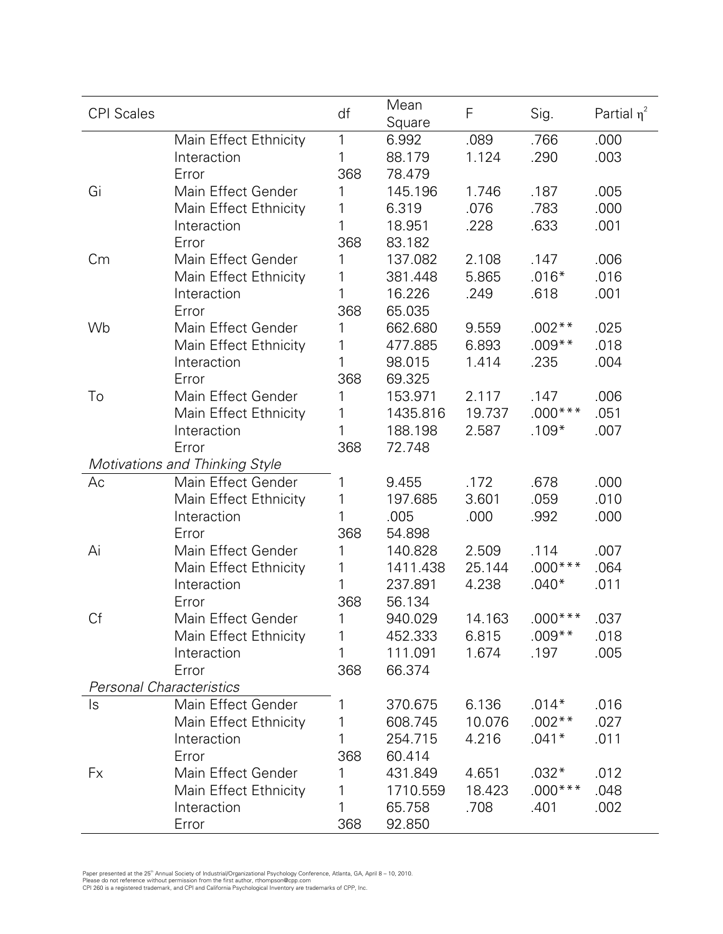| <b>CPI Scales</b> |                                      | df           | Mean<br>Square      | $\mathsf F$     | Sig.              | Partial $\eta^2$ |
|-------------------|--------------------------------------|--------------|---------------------|-----------------|-------------------|------------------|
|                   | Main Effect Ethnicity                | $\mathbf{1}$ | 6.992               | .089            | .766              | .000             |
|                   | Interaction                          | 1            | 88.179              | 1.124           | .290              | .003             |
|                   | Error                                | 368          | 78.479              |                 |                   |                  |
| Gi                | Main Effect Gender                   | 1            | 145.196             | 1.746           | .187              | .005             |
|                   | Main Effect Ethnicity                | 1            | 6.319               | .076            | .783              | .000             |
|                   | Interaction                          | 1            | 18.951              | .228            | .633              | .001             |
|                   | Error                                | 368          | 83.182              |                 |                   |                  |
| Cm                | Main Effect Gender                   | 1            | 137.082             | 2.108           | .147              | .006             |
|                   | Main Effect Ethnicity                | 1            | 381.448             | 5.865           | $.016*$           | .016             |
|                   | Interaction                          | 1            | 16.226              | .249            | .618              | .001             |
|                   | Error                                | 368          | 65.035              |                 |                   |                  |
| Wb                | Main Effect Gender                   | 1            | 662.680             | 9.559           | $.002**$          | .025             |
|                   | Main Effect Ethnicity                | 1            | 477.885             | 6.893           | $.009**$          | .018             |
|                   | Interaction                          | 1            | 98.015              | 1.414           | .235              | .004             |
|                   | Error<br>Main Effect Gender          | 368<br>1     | 69.325              |                 |                   |                  |
| To                |                                      | 1            | 153.971             | 2.117<br>19.737 | .147<br>$.000***$ | .006             |
|                   | Main Effect Ethnicity<br>Interaction | 1            | 1435.816<br>188.198 | 2.587           | $.109*$           | .051<br>.007     |
|                   | Error                                | 368          | 72.748              |                 |                   |                  |
|                   | Motivations and Thinking Style       |              |                     |                 |                   |                  |
| Ac                | Main Effect Gender                   | 1            | 9.455               | .172            | .678              | .000             |
|                   | Main Effect Ethnicity                | 1            | 197.685             | 3.601           | .059              | .010             |
|                   | Interaction                          | 1            | .005                | .000            | .992              | .000             |
|                   | Error                                | 368          | 54.898              |                 |                   |                  |
| Ai                | Main Effect Gender                   | 1            | 140.828             | 2.509           | .114              | .007             |
|                   | Main Effect Ethnicity                | 1            | 1411.438            | 25.144          | $.000***$         | .064             |
|                   | Interaction                          | 1            | 237.891             | 4.238           | $.040*$           | .011             |
|                   | Error                                | 368          | 56.134              |                 |                   |                  |
| Сf                | Main Effect Gender                   | 1            | 940.029             | 14.163          | $.000***$         | .037             |
|                   | Main Effect Ethnicity                | 1            | 452.333             | 6.815           | $.009**$          | .018             |
|                   | Interaction                          | 1            | 111.091             | 1.674           | .197              | .005             |
|                   | Error                                | 368          | 66.374              |                 |                   |                  |
|                   | <b>Personal Characteristics</b>      |              |                     |                 |                   |                  |
| ls                | Main Effect Gender                   |              | 370.675             | 6.136           | $.014*$           | .016             |
|                   | Main Effect Ethnicity                | 1            | 608.745             | 10.076          | $.002**$          | .027             |
|                   | Interaction                          | 1            | 254.715             | 4.216           | $.041*$           | .011             |
|                   | Error                                | 368          | 60.414              |                 |                   |                  |
| Fx                | Main Effect Gender                   | 1            | 431.849             | 4.651           | $.032*$           | .012             |
|                   | Main Effect Ethnicity                | 1            | 1710.559            | 18.423          | $.000***$         | .048             |
|                   | Interaction                          | 1            | 65.758              | .708            | .401              | .002             |
|                   | Error                                | 368          | 92.850              |                 |                   |                  |

Paper presented at the 25" Annual Society of Industrial/Organizational Psychology Conference, Atlanta, GA, April 8 – 10, 2010.<br>Please do not reference without permission from the first author, rthompson@cpp.com<br>CPI 260 is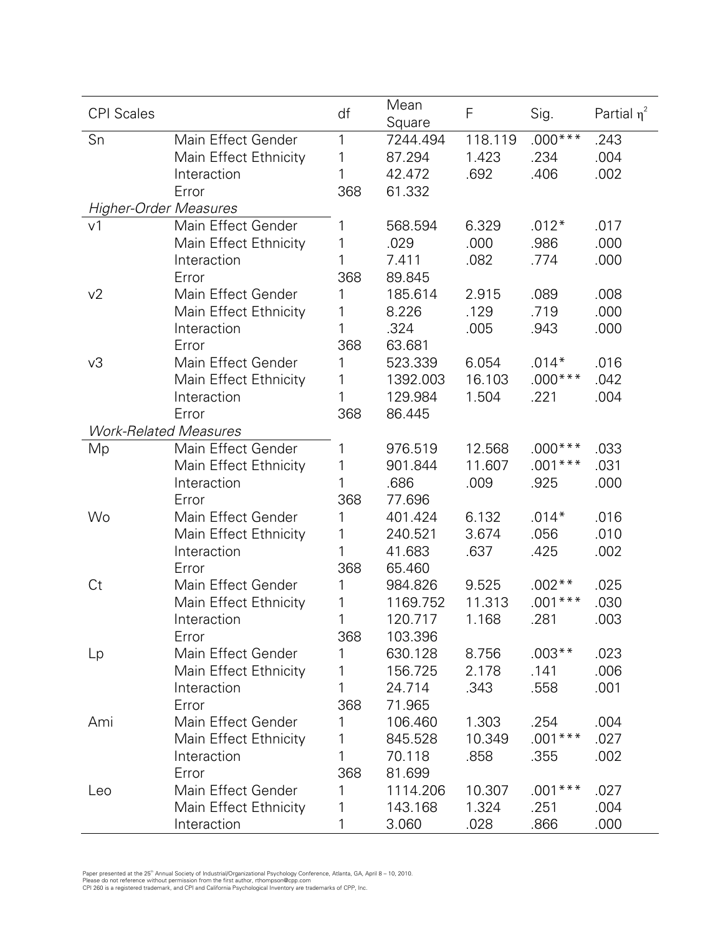| <b>CPI Scales</b>            |                              | df  | Mean<br>Square | F       | Sig.      | Partial $\eta^2$ |
|------------------------------|------------------------------|-----|----------------|---------|-----------|------------------|
| Sn                           | Main Effect Gender           | 1   | 7244.494       | 118.119 | $.000***$ | .243             |
|                              | Main Effect Ethnicity        | 1   | 87.294         | 1.423   | .234      | .004             |
|                              | Interaction                  | 1   | 42.472         | .692    | .406      | .002             |
|                              | Error                        | 368 | 61.332         |         |           |                  |
| <b>Higher-Order Measures</b> |                              |     |                |         |           |                  |
| v <sub>1</sub>               | Main Effect Gender           | 1   | 568.594        | 6.329   | $.012*$   | .017             |
|                              | Main Effect Ethnicity        | 1   | .029           | .000    | .986      | .000             |
|                              | Interaction                  | 1   | 7.411          | .082    | .774      | .000             |
|                              | Error                        | 368 | 89.845         |         |           |                  |
| v <sub>2</sub>               | Main Effect Gender           | 1   | 185.614        | 2.915   | .089      | .008             |
|                              | Main Effect Ethnicity        | 1   | 8.226          | .129    | .719      | .000             |
|                              | Interaction                  | 1   | .324           | .005    | .943      | .000             |
|                              | Error                        | 368 | 63.681         |         |           |                  |
| v3                           | Main Effect Gender           | 1   | 523.339        | 6.054   | $.014*$   | .016             |
|                              | Main Effect Ethnicity        | 1   | 1392.003       | 16.103  | $.000***$ | .042             |
|                              | Interaction                  | 1   | 129.984        | 1.504   | .221      | .004             |
|                              | Error                        | 368 | 86.445         |         |           |                  |
|                              | <b>Work-Related Measures</b> |     |                |         |           |                  |
| Mp                           | Main Effect Gender           | 1   | 976.519        | 12.568  | $.000***$ | .033             |
|                              | Main Effect Ethnicity        | 1   | 901.844        | 11.607  | $.001***$ | .031             |
|                              | Interaction                  | 1   | .686           | .009    | .925      | .000             |
|                              | Error                        | 368 | 77.696         |         |           |                  |
| Wo                           | Main Effect Gender           | 1   | 401.424        | 6.132   | $.014*$   | .016             |
|                              | Main Effect Ethnicity        | 1   | 240.521        | 3.674   | .056      | .010             |
|                              | Interaction                  | 1   | 41.683         | .637    | .425      | .002             |
|                              | Error                        | 368 | 65.460         |         |           |                  |
| Ct                           | Main Effect Gender           | 1   | 984.826        | 9.525   | $.002**$  | .025             |
|                              | Main Effect Ethnicity        | 1   | 1169.752       | 11.313  | $.001***$ | .030             |
|                              | Interaction                  | 1   | 120.717        | 1.168   | 281       | .003             |
|                              | Error                        | 368 | 103.396        |         |           |                  |
| Lp                           | Main Effect Gender           | 1   | 630.128        | 8.756   | $.003**$  | .023             |
|                              | Main Effect Ethnicity        | 1   | 156.725        | 2.178   | .141      | .006             |
|                              | Interaction                  | 1   | 24.714         | .343    | .558      | .001             |
|                              | Error                        | 368 | 71.965         |         |           |                  |
| Ami                          | Main Effect Gender           | 1   | 106.460        | 1.303   | .254      | .004             |
|                              | Main Effect Ethnicity        | 1   | 845.528        | 10.349  | $.001***$ | .027             |
|                              | Interaction                  | 1   | 70.118         | .858    | .355      | .002             |
|                              | Error                        | 368 | 81.699         |         |           |                  |
| Leo                          | Main Effect Gender           | 1   | 1114.206       | 10.307  | $.001***$ | .027             |
|                              | Main Effect Ethnicity        | 1   | 143.168        | 1.324   | .251      | .004             |
|                              | Interaction                  | 1   | 3.060          | .028    | .866      | .000             |

Paper presented at the 25" Annual Society of Industrial/Organizational Psychology Conference, Atlanta, GA, April 8 – 10, 2010.<br>Please do not reference without permission from the first author, rthompson@cpp.com<br>CPI 260 is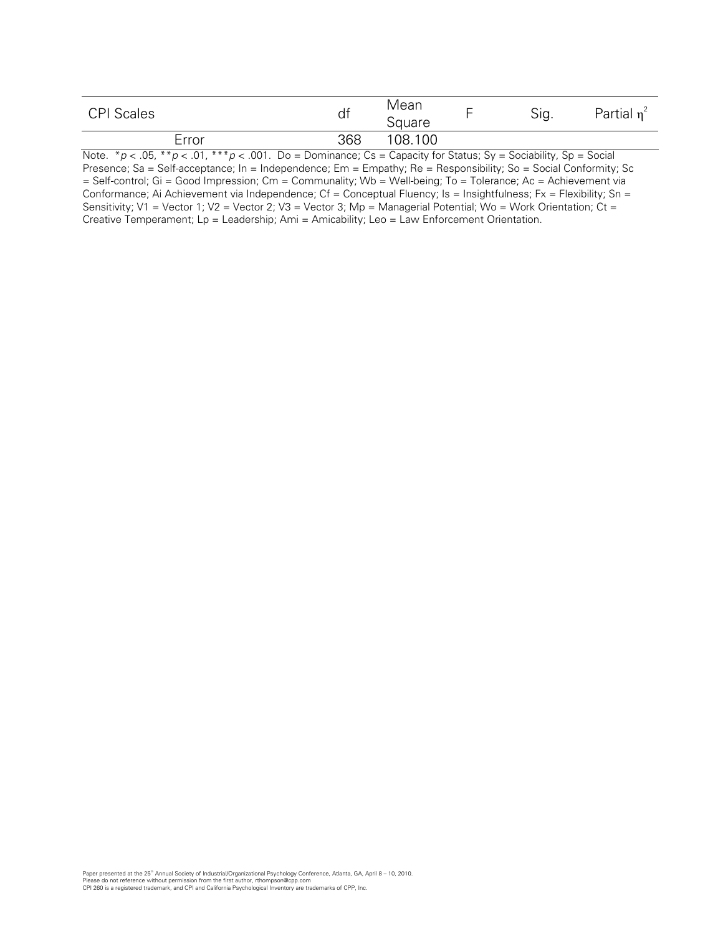| <b>CPI Scales</b>                                   | df     | Mean<br>Square |        | <b>.</b><br>Sig. | Partial<br>$\mathbf n$ |
|-----------------------------------------------------|--------|----------------|--------|------------------|------------------------|
| Error                                               | 368    | 108.100        |        |                  |                        |
| $\sim$ $\sim$<br>$\cdots$<br>_ _ _ _ _ _ _<br>----- | $\sim$ | ___<br>$\sim$  | $\sim$ | $\sim$           | .                      |

Note.  $*_p$  < .05,  $*_p$  < .01,  $_{**p}$  < .001. Do = Dominance; Cs = Capacity for Status; Sy = Sociability, Sp = Social Presence; Sa = Self-acceptance; In = Independence; Em = Empathy; Re = Responsibility; So = Social Conformity; Sc = Self-control; Gi = Good Impression; Cm = Communality; Wb = Well-being; To = Tolerance; Ac = Achievement via Conformance; Ai Achievement via Independence; Cf = Conceptual Fluency; Is = Insightfulness; Fx = Flexibility; Sn = Sensitivity; V1 = Vector 1; V2 = Vector 2; V3 = Vector 3; Mp = Managerial Potential; Wo = Work Orientation; Ct = Creative Temperament; Lp = Leadership; Ami = Amicability; Leo = Law Enforcement Orientation.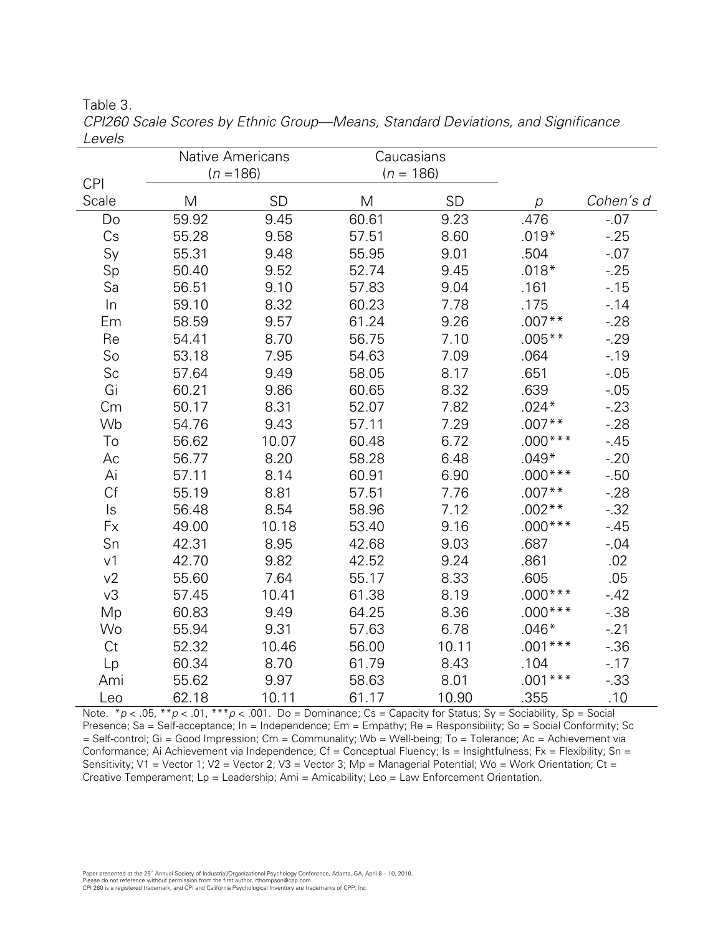Table 3.

|                |             | Native Americans |             | Caucasians |                |           |
|----------------|-------------|------------------|-------------|------------|----------------|-----------|
| <b>CPI</b>     | $(n = 186)$ |                  | $(n = 186)$ |            |                |           |
| Scale          | M           | <b>SD</b>        | M           | SD         | $\overline{p}$ | Cohen's d |
| Do             | 59.92       | 9.45             | 60.61       | 9.23       | .476           | $-.07$    |
| Cs             | 55.28       | 9.58             | 57.51       | 8.60       | $.019*$        | $-25$     |
| Sy             | 55.31       | 9.48             | 55.95       | 9.01       | .504           | $-0.07$   |
| Sp             | 50.40       | 9.52             | 52.74       | 9.45       | $.018*$        | $-25$     |
| Sa             | 56.51       | 9.10             | 57.83       | 9.04       | .161           | $-15$     |
| $\ln$          | 59.10       | 8.32             | 60.23       | 7.78       | .175           | $-14$     |
| Em             | 58.59       | 9.57             | 61.24       | 9.26       | $.007**$       | $-28$     |
| Re             | 54.41       | 8.70             | 56.75       | 7.10       | $.005**$       | $-29$     |
| So             | 53.18       | 7.95             | 54.63       | 7.09       | .064           | $-19$     |
| Sc             | 57.64       | 9.49             | 58.05       | 8.17       | .651           | $-0.05$   |
| Gi             | 60.21       | 9.86             | 60.65       | 8.32       | .639           | $-0.05$   |
| Cm             | 50.17       | 8.31             | 52.07       | 7.82       | $.024*$        | $-23$     |
| Wb             | 54.76       | 9.43             | 57.11       | 7.29       | $.007**$       | $-28$     |
| To             | 56.62       | 10.07            | 60.48       | 6.72       | $.000***$      | $-45$     |
| Aс             | 56.77       | 8.20             | 58.28       | 6.48       | $.049*$        | $-20$     |
| Ai             | 57.11       | 8.14             | 60.91       | 6.90       | $.000***$      | $-0.50$   |
| Cf             | 55.19       | 8.81             | 57.51       | 7.76       | $.007**$       | $-28$     |
| $\mathsf{ls}$  | 56.48       | 8.54             | 58.96       | 7.12       | $.002**$       | $-0.32$   |
| Fx             | 49.00       | 10.18            | 53.40       | 9.16       | $.000***$      | $-45$     |
| Sn             | 42.31       | 8.95             | 42.68       | 9.03       | .687           | $-.04$    |
| v <sub>1</sub> | 42.70       | 9.82             | 42.52       | 9.24       | .861           | .02       |
| v2             | 55.60       | 7.64             | 55.17       | 8.33       | .605           | .05       |
| v3             | 57.45       | 10.41            | 61.38       | 8.19       | $.000***$      | $-42$     |
| Mp             | 60.83       | 9.49             | 64.25       | 8.36       | $.000***$      | $-0.38$   |
| Wo             | 55.94       | 9.31             | 57.63       | 6.78       | $.046*$        | $-21$     |
| Ct             | 52.32       | 10.46            | 56.00       | 10.11      | $.001***$      | $-0.36$   |
| Lp             | 60.34       | 8.70             | 61.79       | 8.43       | .104           | $-17$     |
| Ami            | 55.62       | 9.97             | 58.63       | 8.01       | $.001***$      | $-0.33$   |
| Leo            | 62.18       | 10.11            | 61.17       | 10.90      | .355           | .10       |

CPI260 Scale Scores by Ethnic Group-Means, Standard Deviations, and Significance Levels

Note. \*  $p < .05$ , \* \*  $p < .01$ , \* \* \*  $p < .001$ . Do = Dominance; Cs = Capacity for Status; Sy = Sociability, Sp = Social Presence; Sa = Self-acceptance; In = Independence; Em = Empathy; Re = Responsibility; So = Social Conformity; Sc = Self-control; Gi = Good Impression; Cm = Communality; Wb = Well-being; To = Tolerance; Ac = Achievement via Conformance; Ai Achievement via Independence; Cf = Conceptual Fluency; Is = Insightfulness; Fx = Flexibility; Sn = Sensitivity; V1 = Vector 1; V2 = Vector 2; V3 = Vector 3; Mp = Managerial Potential; Wo = Work Orientation; Ct = Creative Temperament; Lp = Leadership; Ami = Amicability; Leo = Law Enforcement Orientation.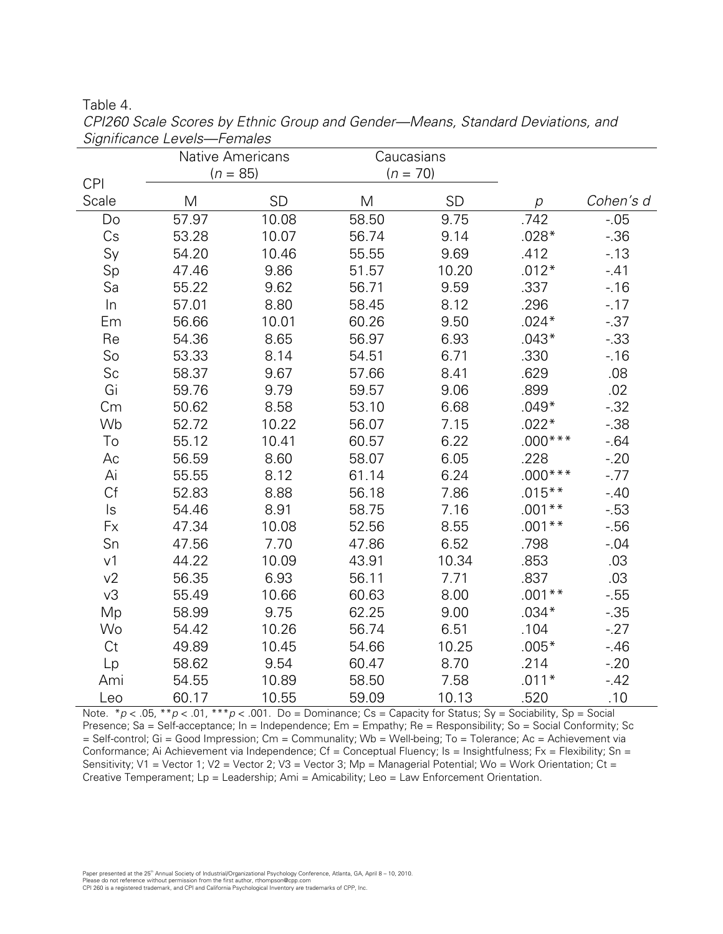Table 4.

|                     | <b>Native Americans</b> |           | Caucasians |           |           |           |
|---------------------|-------------------------|-----------|------------|-----------|-----------|-----------|
|                     | $(n = 85)$              |           | $(n = 70)$ |           |           |           |
| <b>CPI</b><br>Scale |                         | <b>SD</b> | M          | <b>SD</b> |           | Cohen's d |
|                     | M                       |           |            |           | р         |           |
| Do                  | 57.97                   | 10.08     | 58.50      | 9.75      | .742      | $-0.05$   |
| Cs                  | 53.28                   | 10.07     | 56.74      | 9.14      | $.028*$   | $-0.36$   |
| Sy                  | 54.20                   | 10.46     | 55.55      | 9.69      | .412      | $-13$     |
| Sp                  | 47.46                   | 9.86      | 51.57      | 10.20     | $.012*$   | $-41$     |
| Sa                  | 55.22                   | 9.62      | 56.71      | 9.59      | .337      | $-.16$    |
| In                  | 57.01                   | 8.80      | 58.45      | 8.12      | .296      | $-17$     |
| Em                  | 56.66                   | 10.01     | 60.26      | 9.50      | $.024*$   | $-0.37$   |
| Re                  | 54.36                   | 8.65      | 56.97      | 6.93      | $.043*$   | $-0.33$   |
| So                  | 53.33                   | 8.14      | 54.51      | 6.71      | .330      | $-16$     |
| Sc                  | 58.37                   | 9.67      | 57.66      | 8.41      | .629      | .08       |
| Gi                  | 59.76                   | 9.79      | 59.57      | 9.06      | .899      | .02       |
| Cm                  | 50.62                   | 8.58      | 53.10      | 6.68      | $.049*$   | $-0.32$   |
| Wb                  | 52.72                   | 10.22     | 56.07      | 7.15      | $.022*$   | $-0.38$   |
| To                  | 55.12                   | 10.41     | 60.57      | 6.22      | $.000***$ | $-64$     |
| Ac                  | 56.59                   | 8.60      | 58.07      | 6.05      | .228      | $-20$     |
| Ai                  | 55.55                   | 8.12      | 61.14      | 6.24      | $.000***$ | $-.77$    |
| Cf                  | 52.83                   | 8.88      | 56.18      | 7.86      | $.015***$ | $-40$     |
| $\mathsf{ls}$       | 54.46                   | 8.91      | 58.75      | 7.16      | $.001**$  | $-0.53$   |
| Fx                  | 47.34                   | 10.08     | 52.56      | 8.55      | $.001**$  | $-0.56$   |
| Sn                  | 47.56                   | 7.70      | 47.86      | 6.52      | .798      | $-0.04$   |
| v <sub>1</sub>      | 44.22                   | 10.09     | 43.91      | 10.34     | .853      | .03       |
| v2                  | 56.35                   | 6.93      | 56.11      | 7.71      | .837      | .03       |
| v3                  | 55.49                   | 10.66     | 60.63      | 8.00      | $.001**$  | $-0.55$   |
| Mp                  | 58.99                   | 9.75      | 62.25      | 9.00      | $.034*$   | $-0.35$   |
| Wo                  | 54.42                   | 10.26     | 56.74      | 6.51      | .104      | $-27$     |
| Ct                  | 49.89                   | 10.45     | 54.66      | 10.25     | $.005*$   | $-46$     |
| Lp                  | 58.62                   | 9.54      | 60.47      | 8.70      | .214      | $-20$     |
| Ami                 | 54.55                   | 10.89     | 58.50      | 7.58      | $.011*$   | $-42$     |
| Leo                 | 60.17                   | 10.55     | 59.09      | 10.13     | .520      | .10       |

CPI260 Scale Scores by Ethnic Group and Gender-Means, Standard Deviations, and Significance Levels-Females

Note. \*  $p < .05$ , \* \*  $p < .01$ , \* \* \*  $p < .001$ . Do = Dominance; Cs = Capacity for Status; Sy = Sociability, Sp = Social Presence; Sa = Self-acceptance; In = Independence; Em = Empathy; Re = Responsibility; So = Social Conformity; Sc = Self-control; Gi = Good Impression; Cm = Communality; Wb = Well-being; To = Tolerance; Ac = Achievement via Conformance; Ai Achievement via Independence; Cf = Conceptual Fluency; Is = Insightfulness; Fx = Flexibility; Sn = Sensitivity; V1 = Vector 1; V2 = Vector 2; V3 = Vector 3; Mp = Managerial Potential; Wo = Work Orientation; Ct = Creative Temperament; Lp = Leadership; Ami = Amicability; Leo = Law Enforcement Orientation.